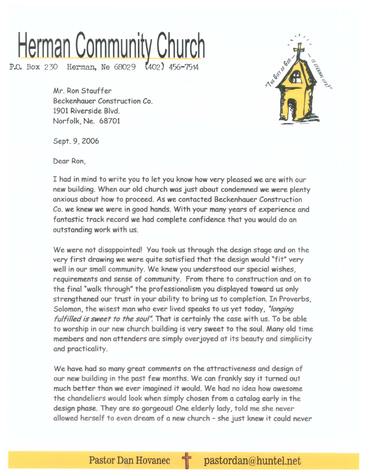## **Herman Community Church**

P.O. Box 230 Herman, Ne 68029 (402) 456-7514

Mr. Ron Stauffer Beckenhauer Construction Co. 1901 Riverside Blvd. Norfolk, Ne. 68701



Sept. 9, 2006

Dear Ron,

I had in mind to write you to let you know how very pleased we are with our new building. When our old church was just about condemned we were plenty anxious about how to proceed. As we contacted Beckenhauer Construction Co. we knew we were in good hands. With your manyyears of experience and fantastic track record we had complete confidence that you would do an outstanding work with us.

We were not disappointed! You took us through the design stage and on the very first drawing we were quite satisfied that the design would "fit" very well in our small community. We knew you understood our special wishes, requirements and sense of community. From there to construction and on to the final "walk through" the professionalism you displayed toward us only strengthened our trust in your ability to bring us to completion. In Proverbs, Solomon, the wisest man who ever lived speaks to us yet today, *"longing fulfilled is sweet to the soul"*. That is certainly the case with us. To be able to worship in our new church building is very sweet to the soul. Many old time members and non attenders are simply overjoyed at its beauty and simplicity and practicality.

We have had so many great comments on the attractiveness and design of our new building in the past few months. We can frankly say it turned out much better than we ever imagined it would. We had no idea how awesome the chandeliers would look when simply chosen from a catalog early in the design phase. They are so gorgeous! One elderly lady, told me she never allowed herself to even dream of a new church - she just knew it could never